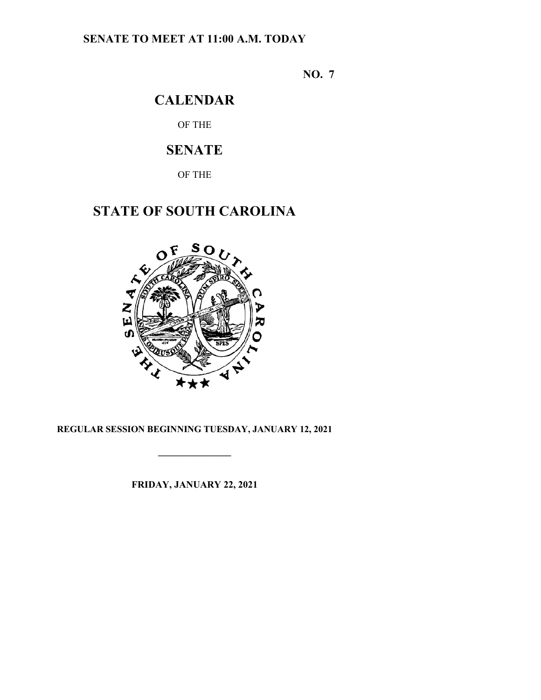## **SENATE TO MEET AT 11:00 A.M. TODAY**

**NO. 7**

## **CALENDAR**

OF THE

# **SENATE**

OF THE

# **STATE OF SOUTH CAROLINA**



### **REGULAR SESSION BEGINNING TUESDAY, JANUARY 12, 2021**

**\_\_\_\_\_\_\_\_\_\_\_\_\_\_\_**

**FRIDAY, JANUARY 22, 2021**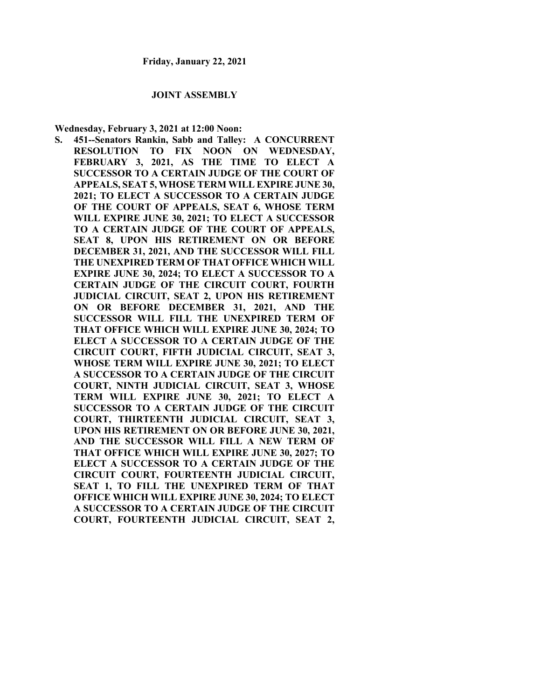#### **JOINT ASSEMBLY**

**Wednesday, February 3, 2021 at 12:00 Noon:**

**S. 451--Senators Rankin, Sabb and Talley: A CONCURRENT RESOLUTION TO FIX NOON ON WEDNESDAY, FEBRUARY 3, 2021, AS THE TIME TO ELECT A SUCCESSOR TO A CERTAIN JUDGE OF THE COURT OF APPEALS, SEAT 5, WHOSE TERM WILL EXPIRE JUNE 30, 2021; TO ELECT A SUCCESSOR TO A CERTAIN JUDGE OF THE COURT OF APPEALS, SEAT 6, WHOSE TERM WILL EXPIRE JUNE 30, 2021; TO ELECT A SUCCESSOR TO A CERTAIN JUDGE OF THE COURT OF APPEALS, SEAT 8, UPON HIS RETIREMENT ON OR BEFORE DECEMBER 31, 2021, AND THE SUCCESSOR WILL FILL THE UNEXPIRED TERM OF THAT OFFICE WHICH WILL EXPIRE JUNE 30, 2024; TO ELECT A SUCCESSOR TO A CERTAIN JUDGE OF THE CIRCUIT COURT, FOURTH JUDICIAL CIRCUIT, SEAT 2, UPON HIS RETIREMENT ON OR BEFORE DECEMBER 31, 2021, AND THE SUCCESSOR WILL FILL THE UNEXPIRED TERM OF THAT OFFICE WHICH WILL EXPIRE JUNE 30, 2024; TO ELECT A SUCCESSOR TO A CERTAIN JUDGE OF THE CIRCUIT COURT, FIFTH JUDICIAL CIRCUIT, SEAT 3, WHOSE TERM WILL EXPIRE JUNE 30, 2021; TO ELECT A SUCCESSOR TO A CERTAIN JUDGE OF THE CIRCUIT COURT, NINTH JUDICIAL CIRCUIT, SEAT 3, WHOSE TERM WILL EXPIRE JUNE 30, 2021; TO ELECT A SUCCESSOR TO A CERTAIN JUDGE OF THE CIRCUIT COURT, THIRTEENTH JUDICIAL CIRCUIT, SEAT 3, UPON HIS RETIREMENT ON OR BEFORE JUNE 30, 2021, AND THE SUCCESSOR WILL FILL A NEW TERM OF THAT OFFICE WHICH WILL EXPIRE JUNE 30, 2027; TO ELECT A SUCCESSOR TO A CERTAIN JUDGE OF THE CIRCUIT COURT, FOURTEENTH JUDICIAL CIRCUIT, SEAT 1, TO FILL THE UNEXPIRED TERM OF THAT OFFICE WHICH WILL EXPIRE JUNE 30, 2024; TO ELECT A SUCCESSOR TO A CERTAIN JUDGE OF THE CIRCUIT COURT, FOURTEENTH JUDICIAL CIRCUIT, SEAT 2,**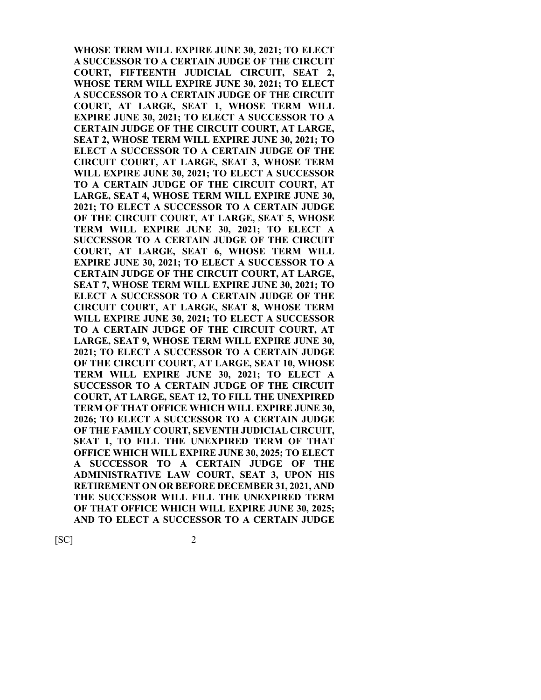**WHOSE TERM WILL EXPIRE JUNE 30, 2021; TO ELECT A SUCCESSOR TO A CERTAIN JUDGE OF THE CIRCUIT COURT, FIFTEENTH JUDICIAL CIRCUIT, SEAT 2, WHOSE TERM WILL EXPIRE JUNE 30, 2021; TO ELECT A SUCCESSOR TO A CERTAIN JUDGE OF THE CIRCUIT COURT, AT LARGE, SEAT 1, WHOSE TERM WILL EXPIRE JUNE 30, 2021; TO ELECT A SUCCESSOR TO A CERTAIN JUDGE OF THE CIRCUIT COURT, AT LARGE, SEAT 2, WHOSE TERM WILL EXPIRE JUNE 30, 2021; TO ELECT A SUCCESSOR TO A CERTAIN JUDGE OF THE CIRCUIT COURT, AT LARGE, SEAT 3, WHOSE TERM WILL EXPIRE JUNE 30, 2021; TO ELECT A SUCCESSOR TO A CERTAIN JUDGE OF THE CIRCUIT COURT, AT LARGE, SEAT 4, WHOSE TERM WILL EXPIRE JUNE 30, 2021; TO ELECT A SUCCESSOR TO A CERTAIN JUDGE OF THE CIRCUIT COURT, AT LARGE, SEAT 5, WHOSE TERM WILL EXPIRE JUNE 30, 2021; TO ELECT A SUCCESSOR TO A CERTAIN JUDGE OF THE CIRCUIT COURT, AT LARGE, SEAT 6, WHOSE TERM WILL EXPIRE JUNE 30, 2021; TO ELECT A SUCCESSOR TO A CERTAIN JUDGE OF THE CIRCUIT COURT, AT LARGE, SEAT 7, WHOSE TERM WILL EXPIRE JUNE 30, 2021; TO ELECT A SUCCESSOR TO A CERTAIN JUDGE OF THE CIRCUIT COURT, AT LARGE, SEAT 8, WHOSE TERM WILL EXPIRE JUNE 30, 2021; TO ELECT A SUCCESSOR TO A CERTAIN JUDGE OF THE CIRCUIT COURT, AT LARGE, SEAT 9, WHOSE TERM WILL EXPIRE JUNE 30, 2021; TO ELECT A SUCCESSOR TO A CERTAIN JUDGE OF THE CIRCUIT COURT, AT LARGE, SEAT 10, WHOSE TERM WILL EXPIRE JUNE 30, 2021; TO ELECT A SUCCESSOR TO A CERTAIN JUDGE OF THE CIRCUIT COURT, AT LARGE, SEAT 12, TO FILL THE UNEXPIRED TERM OF THAT OFFICE WHICH WILL EXPIRE JUNE 30, 2026; TO ELECT A SUCCESSOR TO A CERTAIN JUDGE OF THE FAMILY COURT, SEVENTH JUDICIAL CIRCUIT, SEAT 1, TO FILL THE UNEXPIRED TERM OF THAT OFFICE WHICH WILL EXPIRE JUNE 30, 2025; TO ELECT A SUCCESSOR TO A CERTAIN JUDGE OF THE ADMINISTRATIVE LAW COURT, SEAT 3, UPON HIS RETIREMENT ON OR BEFORE DECEMBER 31, 2021, AND THE SUCCESSOR WILL FILL THE UNEXPIRED TERM OF THAT OFFICE WHICH WILL EXPIRE JUNE 30, 2025; AND TO ELECT A SUCCESSOR TO A CERTAIN JUDGE** 

 $[SC]$  2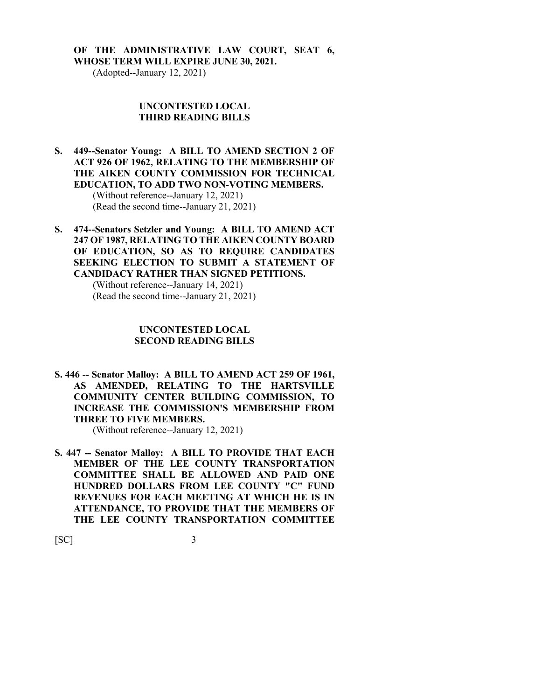## **OF THE ADMINISTRATIVE LAW COURT, SEAT 6,**

**WHOSE TERM WILL EXPIRE JUNE 30, 2021.**

(Adopted--January 12, 2021)

#### **UNCONTESTED LOCAL THIRD READING BILLS**

- **S. 449--Senator Young: A BILL TO AMEND SECTION 2 OF ACT 926 OF 1962, RELATING TO THE MEMBERSHIP OF THE AIKEN COUNTY COMMISSION FOR TECHNICAL EDUCATION, TO ADD TWO NON-VOTING MEMBERS.** (Without reference--January 12, 2021) (Read the second time--January 21, 2021)
- **S. 474--Senators Setzler and Young: A BILL TO AMEND ACT 247 OF 1987, RELATING TO THE AIKEN COUNTY BOARD OF EDUCATION, SO AS TO REQUIRE CANDIDATES SEEKING ELECTION TO SUBMIT A STATEMENT OF CANDIDACY RATHER THAN SIGNED PETITIONS.** (Without reference--January 14, 2021) (Read the second time--January 21, 2021)

#### **UNCONTESTED LOCAL SECOND READING BILLS**

**S. 446 -- Senator Malloy: A BILL TO AMEND ACT 259 OF 1961, AS AMENDED, RELATING TO THE HARTSVILLE COMMUNITY CENTER BUILDING COMMISSION, TO INCREASE THE COMMISSION'S MEMBERSHIP FROM THREE TO FIVE MEMBERS.**

(Without reference--January 12, 2021)

**S. 447 -- Senator Malloy: A BILL TO PROVIDE THAT EACH MEMBER OF THE LEE COUNTY TRANSPORTATION COMMITTEE SHALL BE ALLOWED AND PAID ONE HUNDRED DOLLARS FROM LEE COUNTY "C" FUND REVENUES FOR EACH MEETING AT WHICH HE IS IN ATTENDANCE, TO PROVIDE THAT THE MEMBERS OF THE LEE COUNTY TRANSPORTATION COMMITTEE** 

 $[SC]$  3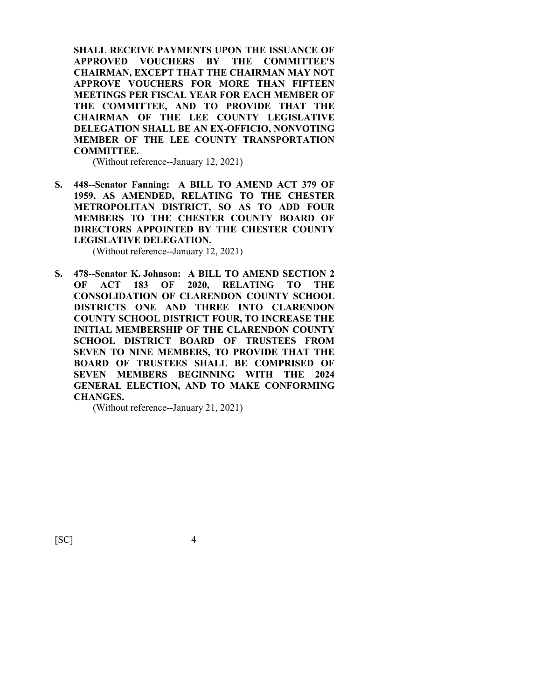**SHALL RECEIVE PAYMENTS UPON THE ISSUANCE OF APPROVED VOUCHERS BY THE COMMITTEE'S CHAIRMAN, EXCEPT THAT THE CHAIRMAN MAY NOT APPROVE VOUCHERS FOR MORE THAN FIFTEEN MEETINGS PER FISCAL YEAR FOR EACH MEMBER OF THE COMMITTEE, AND TO PROVIDE THAT THE CHAIRMAN OF THE LEE COUNTY LEGISLATIVE DELEGATION SHALL BE AN EX-OFFICIO, NONVOTING MEMBER OF THE LEE COUNTY TRANSPORTATION COMMITTEE.**

(Without reference--January 12, 2021)

**S. 448--Senator Fanning: A BILL TO AMEND ACT 379 OF 1959, AS AMENDED, RELATING TO THE CHESTER METROPOLITAN DISTRICT, SO AS TO ADD FOUR MEMBERS TO THE CHESTER COUNTY BOARD OF DIRECTORS APPOINTED BY THE CHESTER COUNTY LEGISLATIVE DELEGATION.**

(Without reference--January 12, 2021)

**S. 478--Senator K. Johnson: A BILL TO AMEND SECTION 2 OF ACT 183 OF 2020, RELATING TO THE CONSOLIDATION OF CLARENDON COUNTY SCHOOL DISTRICTS ONE AND THREE INTO CLARENDON COUNTY SCHOOL DISTRICT FOUR, TO INCREASE THE INITIAL MEMBERSHIP OF THE CLARENDON COUNTY SCHOOL DISTRICT BOARD OF TRUSTEES FROM SEVEN TO NINE MEMBERS, TO PROVIDE THAT THE BOARD OF TRUSTEES SHALL BE COMPRISED OF SEVEN MEMBERS BEGINNING WITH THE 2024 GENERAL ELECTION, AND TO MAKE CONFORMING CHANGES.**

(Without reference--January 21, 2021)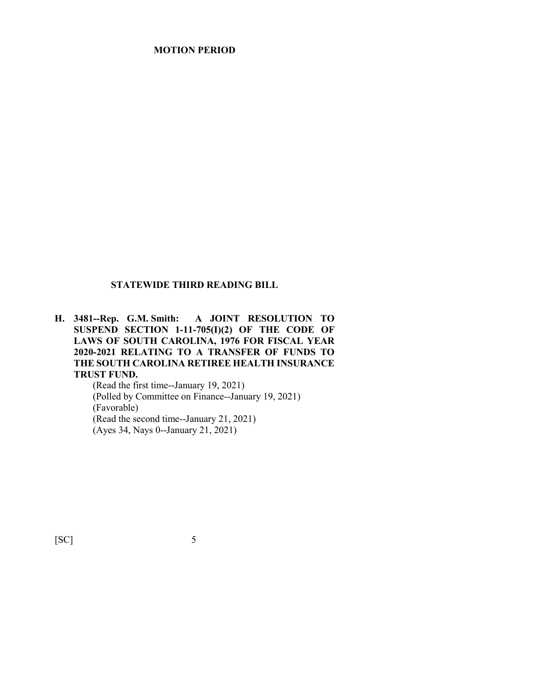### **MOTION PERIOD**

#### **STATEWIDE THIRD READING BILL**

**H. 3481--Rep. G.M. Smith: A JOINT RESOLUTION TO SUSPEND SECTION 1-11-705(I)(2) OF THE CODE OF LAWS OF SOUTH CAROLINA, 1976 FOR FISCAL YEAR 2020-2021 RELATING TO A TRANSFER OF FUNDS TO THE SOUTH CAROLINA RETIREE HEALTH INSURANCE TRUST FUND.**

(Read the first time--January 19, 2021) (Polled by Committee on Finance--January 19, 2021) (Favorable) (Read the second time--January 21, 2021) (Ayes 34, Nays 0--January 21, 2021)